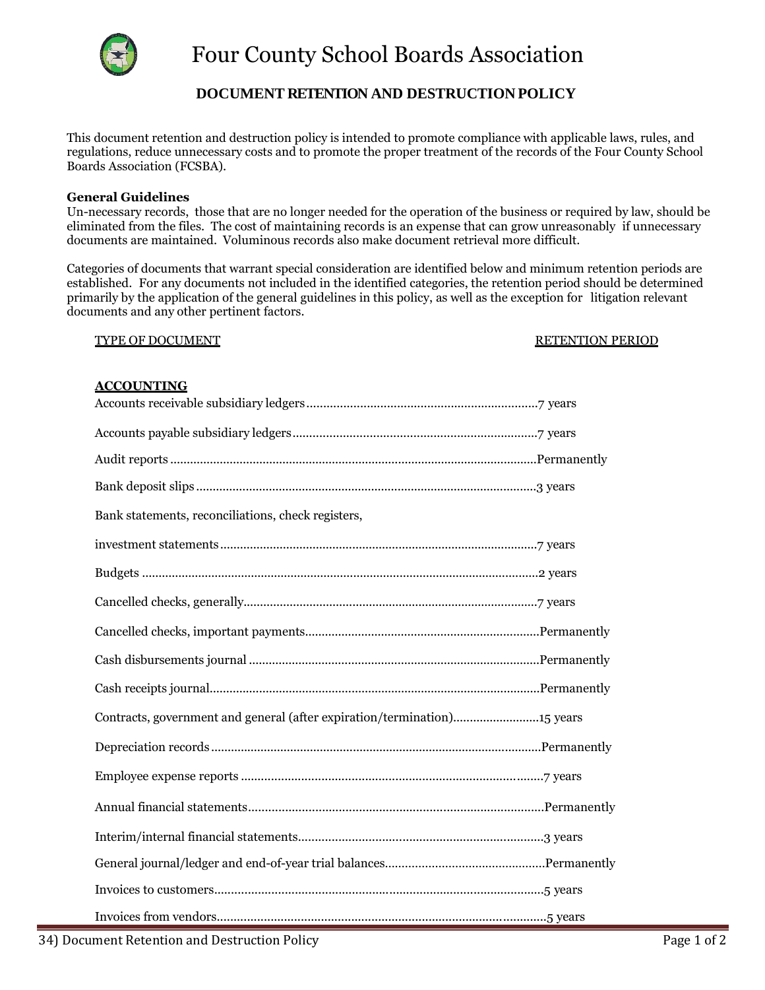

# **DOCUMENT RETENTION AND DESTRUCTION POLICY**

This document retention and destruction policy is intended to promote compliance with applicable laws, rules, and regulations, reduce unnecessary costs and to promote the proper treatment of the records of the Four County School Boards Association (FCSBA).

## **General Guidelines**

Un-necessary records, those that are no longer needed for the operation of the business or required by law, should be eliminated from the files. The cost of maintaining records is an expense that can grow unreasonably if unnecessary documents are maintained. Voluminous records also make document retrieval more difficult.

Categories of documents that warrant special consideration are identified below and minimum retention periods are established. For any documents not included in the identified categories, the retention period should be determined primarily by the application of the general guidelines in this policy, as well as the exception for litigation relevant documents and any other pertinent factors.

#### TYPE OF DOCUMENT TYPE OF DOCUMENT AND THE RETENTION PERIOD

## **ACCOUNTING**

| Bank statements, reconciliations, check registers,                       |  |
|--------------------------------------------------------------------------|--|
|                                                                          |  |
|                                                                          |  |
|                                                                          |  |
|                                                                          |  |
|                                                                          |  |
|                                                                          |  |
| Contracts, government and general (after expiration/termination)15 years |  |
|                                                                          |  |
|                                                                          |  |
|                                                                          |  |
|                                                                          |  |
|                                                                          |  |
|                                                                          |  |
|                                                                          |  |